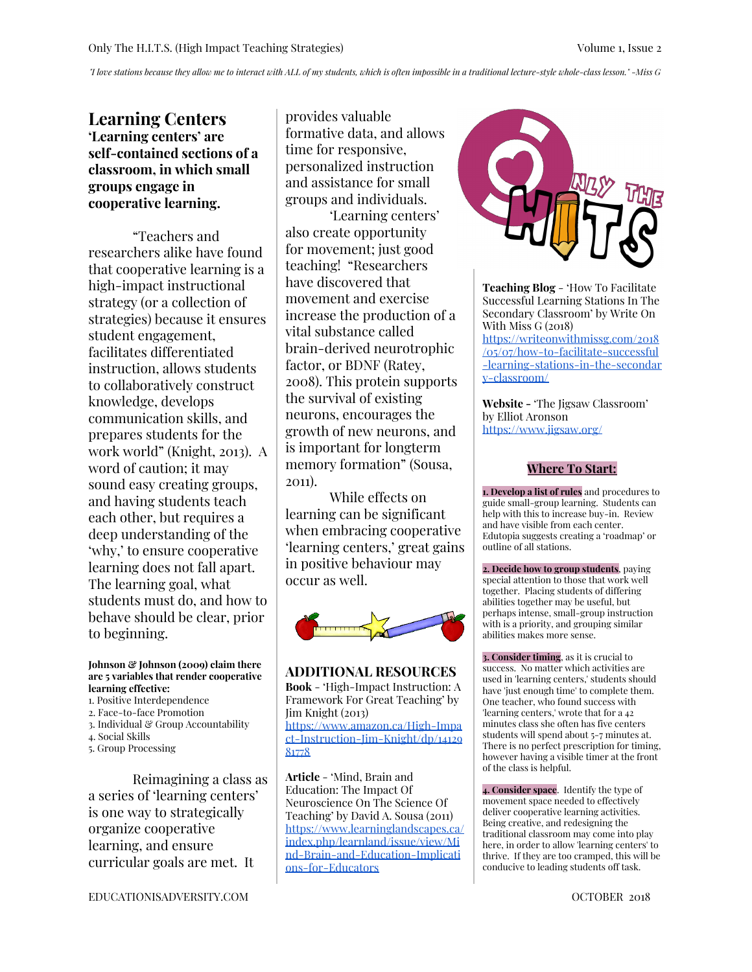"I love stations because they allow me to interact with ALL of my students, which is often impossible in a traditional lecture-style whole-class lesson." -Miss G

## **Learning Centers 'Learning centers' are self-contained sections of a classroom, in which small groups engage in cooperative learning.**

"Teachers and researchers alike have found that cooperative learning is a high-impact instructional strategy (or a collection of strategies) because it ensures student engagement, facilitates differentiated instruction, allows students to collaboratively construct knowledge, develops communication skills, and prepares students for the work world" (Knight, 2013). A word of caution; it may sound easy creating groups, and having students teach each other, but requires a deep understanding of the 'why,' to ensure cooperative learning does not fall apart. The learning goal, what students must do, and how to behave should be clear, prior to beginning.

#### **Johnson & Johnson (2009) claim there are 5 variables that render cooperative learning effective:**

- 1. Positive Interdependence
- 2. Face-to-face Promotion
- 3. Individual & Group Accountability
- 4. Social Skills
- 5. Group Processing

Reimagining a class as a series of 'learning centers' is one way to strategically organize cooperative learning, and ensure curricular goals are met. It

provides valuable formative data, and allows time for responsive, personalized instruction and assistance for small groups and individuals.

'Learning centers' also create opportunity for movement; just good teaching! "Researchers have discovered that movement and exercise increase the production of a vital substance called brain-derived neurotrophic factor, or BDNF (Ratey, 2008). This protein supports the survival of existing neurons, encourages the growth of new neurons, and is important for longterm memory formation" (Sousa, 2011).

While effects on learning can be significant when embracing cooperative 'learning centers,' great gains in positive behaviour may occur as well.



**ADDITIONAL RESOURCES Book** - 'High-Impact Instruction: A Framework For Great Teaching' by Jim Knight (2013) [https://www.amazon.ca/High-Impa](https://www.amazon.ca/High-Impact-Instruction-Jim-Knight/dp/1412981778) [ct-Instruction-Jim-Knight/dp/14129](https://www.amazon.ca/High-Impact-Instruction-Jim-Knight/dp/1412981778) [81778](https://www.amazon.ca/High-Impact-Instruction-Jim-Knight/dp/1412981778)

**Article** - 'Mind, Brain and Education: The Impact Of Neuroscience On The Science Of Teaching' by David A. Sousa (2011) [https://www.learninglandscapes.ca/](https://www.learninglandscapes.ca/index.php/learnland/issue/view/Mind-Brain-and-Education-Implications-for-Educators) [index.php/learnland/issue/view/Mi](https://www.learninglandscapes.ca/index.php/learnland/issue/view/Mind-Brain-and-Education-Implications-for-Educators) [nd-Brain-and-Education-Implicati](https://www.learninglandscapes.ca/index.php/learnland/issue/view/Mind-Brain-and-Education-Implications-for-Educators) [ons-for-Educators](https://www.learninglandscapes.ca/index.php/learnland/issue/view/Mind-Brain-and-Education-Implications-for-Educators)



**Teaching Blog** - 'How To Facilitate Successful Learning Stations In The Secondary Classroom' by Write On With Miss G (2018)

[https://writeonwithmissg.com/2018](https://writeonwithmissg.com/2018/05/07/how-to-facilitate-successful-learning-stations-in-the-secondary-classroom/) [/05/07/how-to-facilitate-successful](https://writeonwithmissg.com/2018/05/07/how-to-facilitate-successful-learning-stations-in-the-secondary-classroom/) [-learning-stations-in-the-secondar](https://writeonwithmissg.com/2018/05/07/how-to-facilitate-successful-learning-stations-in-the-secondary-classroom/) [y-classroom/](https://writeonwithmissg.com/2018/05/07/how-to-facilitate-successful-learning-stations-in-the-secondary-classroom/)

**Website -** 'The Jigsaw Classroom' by Elliot Aronson <https://www.jigsaw.org/>

#### **Where To Start:**

**1. Develop a list of rules** and procedures to guide small-group learning. Students can help with this to increase buy-in. Review and have visible from each center. Edutopia suggests creating a 'roadmap' or outline of all stations.

**2. Decide how to group students**, paying special attention to those that work well together. Placing students of differing abilities together may be useful, but perhaps intense, small-group instruction with is a priority, and grouping similar abilities makes more sense.

**3. Consider timing**, as it is crucial to success. No matter which activities are used in 'learning centers,' students should have 'just enough time' to complete them. One teacher, who found success with 'learning centers,' wrote that for a 42 minutes class she often has five centers students will spend about 5-7 minutes at. There is no perfect prescription for timing, however having a visible timer at the front of the class is helpful.

**4. Consider space**. Identify the type of movement space needed to effectively deliver cooperative learning activities. Being creative, and redesigning the traditional classroom may come into play here, in order to allow 'learning centers' to thrive. If they are too cramped, this will be conducive to leading students off task.